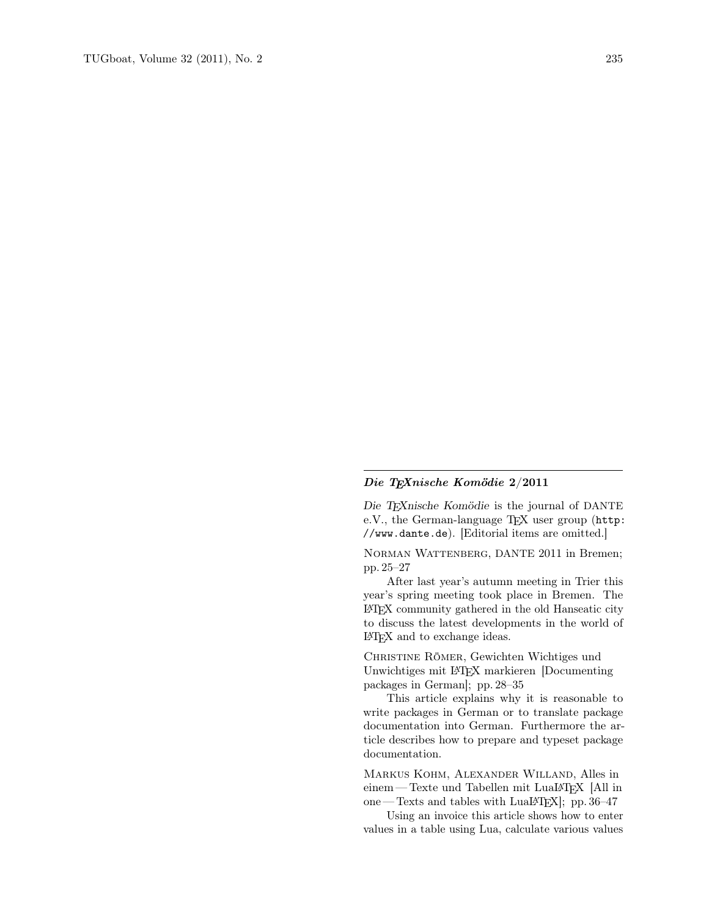## Die TEXnische Komödie 2/2011

Die TEXnische Komödie is the journal of DANTE e.V., the German-language TEX user group (http: //www.dante.de). [Editorial items are omitted.]

Norman Wattenberg, DANTE 2011 in Bremen; pp. 25–27

After last year's autumn meeting in Trier this year's spring meeting took place in Bremen. The LATEX community gathered in the old Hanseatic city to discuss the latest developments in the world of LATEX and to exchange ideas.

Christine Römer, Gewichten Wichtiges und Unwichtiges mit LATEX markieren [Documenting packages in German]; pp. 28–35

This article explains why it is reasonable to write packages in German or to translate package documentation into German. Furthermore the article describes how to prepare and typeset package documentation.

Markus Kohm, Alexander Willand, Alles in einem—Texte und Tabellen mit LuaLATFX [All in one — Texts and tables with LuaLATEX]; pp. 36–47

Using an invoice this article shows how to enter values in a table using Lua, calculate various values